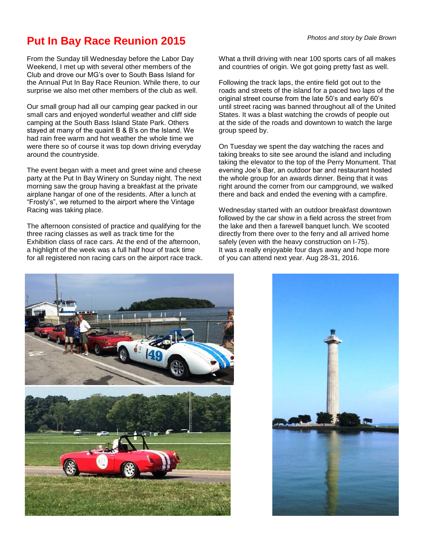## **Put In Bay Race Reunion 2015** Photos and story by Dale Brown

From the Sunday till Wednesday before the Labor Day Weekend, I met up with several other members of the Club and drove our MG's over to South Bass Island for the Annual Put In Bay Race Reunion. While there, to our surprise we also met other members of the club as well.

Our small group had all our camping gear packed in our small cars and enjoyed wonderful weather and cliff side camping at the South Bass Island State Park. Others stayed at many of the quaint B & B's on the Island. We had rain free warm and hot weather the whole time we were there so of course it was top down driving everyday around the countryside.

The event began with a meet and greet wine and cheese party at the Put In Bay Winery on Sunday night. The next morning saw the group having a breakfast at the private airplane hangar of one of the residents. After a lunch at "Frosty's", we returned to the airport where the Vintage Racing was taking place.

The afternoon consisted of practice and qualifying for the three racing classes as well as track time for the Exhibition class of race cars. At the end of the afternoon, a highlight of the week was a full half hour of track time for all registered non racing cars on the airport race track. What a thrill driving with near 100 sports cars of all makes and countries of origin. We got going pretty fast as well.

Following the track laps, the entire field got out to the roads and streets of the island for a paced two laps of the original street course from the late 50's and early 60's until street racing was banned throughout all of the United States. It was a blast watching the crowds of people out at the side of the roads and downtown to watch the large group speed by.

On Tuesday we spent the day watching the races and taking breaks to site see around the island and including taking the elevator to the top of the Perry Monument. That evening Joe's Bar, an outdoor bar and restaurant hosted the whole group for an awards dinner. Being that it was right around the corner from our campground, we walked there and back and ended the evening with a campfire.

Wednesday started with an outdoor breakfast downtown followed by the car show in a field across the street from the lake and then a farewell banquet lunch. We scooted directly from there over to the ferry and all arrived home safely (even with the heavy construction on I-75). It was a really enjoyable four days away and hope more of you can attend next year. Aug 28-31, 2016.